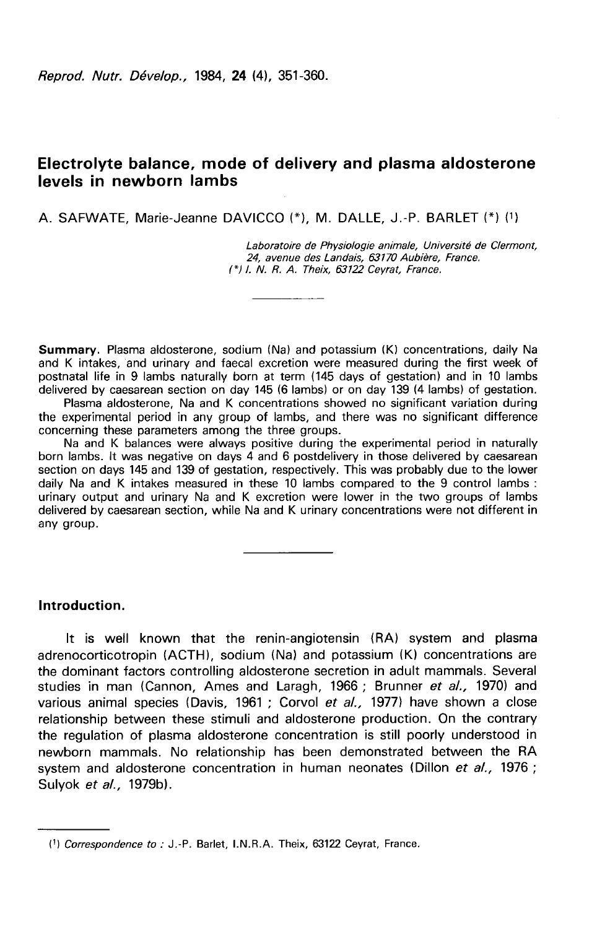# Electrolyte balance, mode of delivery and plasma aldosterone levels in newborn lambs

A. SAFWATE, Marie-Jeanne DAVICCO (\*), M. DALLE, J.-P. BARLET (\*) (1)

Laboratoire de Physiologie animale, Université de Clermont, 24, avenue des Landais, 63170 Aubière, France.  $(*)$  I. N. R. A. Theix, 63122 Ceyrat, France.

Summary. Plasma aldosterone, sodium (Na) and potassium (K) concentrations, daily Na and K intakes, and urinary and faecal excretion were measured during the first week of postnatal life in 9 lambs naturally born at term (145 days of gestation) and in 10 lambs delivered by caesarean section on day 145 (6 lambs) or on day 139 (4 lambs) of gestation.

Plasma aldosterone, Na and K concentrations showed no significant variation during the experimental period in any group of lambs, and there was no significant difference concerning these parameters among the three groups.

Na and K balances were always positive during the experimental period in naturally born lambs. It was negative on days 4 and 6 postdelivery in those delivered by caesarean section on days 145 and 139 of gestation, respectively. This was probably due to the lower daily Na and K intakes measured in these 10 lambs compared to the 9 control lambs : urinary output and urinary Na and K excretion were lower in the two groups of lambs delivered by caesarean section, while Na and K urinary concentrations were not different in any group.

Introduction.

It is well known that the renin-angiotensin (RA) system and plasma adrenocorticotropin (ACTH), sodium (Na) and potassium (K) concentrations are the dominant factors controlling aldosterone secretion in adult mammals. Several studies in man (Cannon, Ames and Laragh, 1966 ; Brunner et al., 1970) and various animal species (Davis, 1961 ; Corvol et al., 1977) have shown a close relationship between these stimuli and aldosterone production. On the contrary the regulation of plasma aldosterone concentration is still poorly understood in newborn mammals. No relationship has been demonstrated between the RA system and aldosterone concentration in human neonates (Dillon et al., 1976; Sulyok et al., 1979b).

<sup>(!)</sup> Correspondence to : J.-P. Barlet, LN.R.A. Theix, 63122 Ceyrat, France.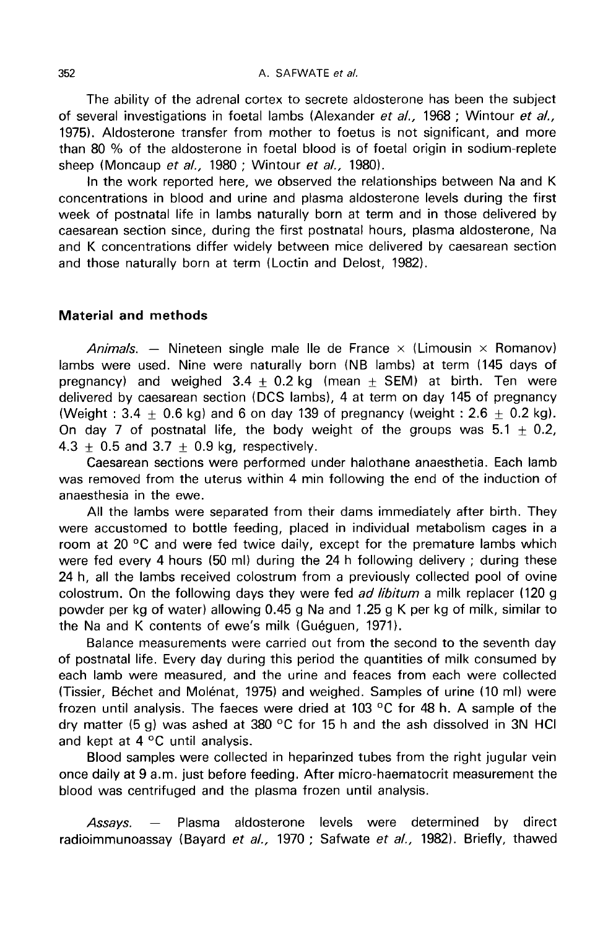The ability of the adrenal cortex to secrete aldosterone has been the subject of several investigations in foetal lambs (Alexander et al., 1968 ; Wintour et al., 1975). Aldosterone transfer from mother to foetus is not significant, and more than 80 % of the aldosterone in foetal blood is of foetal origin in sodium-replete sheep (Moncaup et al., 1980 ; Wintour et al., 1980).

In the work reported here, we observed the relationships between Na and K concentrations in blood and urine and plasma aldosterone levels during the first week of postnatal life in lambs naturally born at term and in those delivered by caesarean section since, during the first postnatal hours, plasma aldosterone, Na and K concentrations differ widely between mice delivered by caesarean section and those naturally born at term (Loctin and Delost, 1982).

### Material and methods

Animals. — Nineteen single male lle de France  $\times$  (Limousin  $\times$  Romanov) lambs were used. Nine were naturally born (NB lambs) at term (145 days of pregnancy) and weighed  $3.4 + 0.2$  kg (mean  $+$  SEM) at birth. Ten were delivered by caesarean section (DCS lambs), 4 at term on day 145 of pregnancy (Weight :  $3.4 + 0.6$  kg) and 6 on day 139 of pregnancy (weight :  $2.6 + 0.2$  kg). On day 7 of postnatal life, the body weight of the groups was  $5.1 + 0.2$ ,  $4.3 + 0.5$  and  $3.7 + 0.9$  kg, respectively.

Caesarean sections were performed under halothane anaesthetia. Each lamb was removed from the uterus within 4 min following the end of the induction of anaesthesia in the ewe.

All the lambs were separated from their dams immediately after birth. They were accustomed to bottle feeding, placed in individual metabolism cages in a room at 20 °C and were fed twice daily, except for the premature lambs which were fed every 4 hours (50 ml) during the 24 h following delivery ; during these 24 h, all the lambs received colostrum from a previously collected pool of ovine colostrum. On the following days they were fed *ad libitum* a milk replacer (120 g powder per kg of water) allowing 0.45 g Na and 1.25 g K per kg of milk, similar to the Na and K contents of ewe's milk (Guéguen, 1971).

Balance measurements were carried out from the second to the seventh day of postnatal life. Every day during this period the quantities of milk consumed by each lamb were measured, and the urine and feaces from each were collected (Tissier, B6chet and Mol6nat, 1975) and weighed. Samples of urine (10 ml) were frozen until analysis. The faeces were dried at 103 °C for 48 h. A sample of the dry matter (5 g) was ashed at 380 °C for 15 h and the ash dissolved in 3N HCl and kept at 4 °C until analysis.

Blood samples were collected in heparinzed tubes from the right jugular vein once daily at 9 a.m. just before feeding. After micro-haematocrit measurement the blood was centrifuged and the plasma frozen until analysis.

Assays. ― Plasma aldosterone levels were determined by direct radioimmunoassay (Bayard et al., 1970 ; Safwate et al., 1982). Briefly, thawed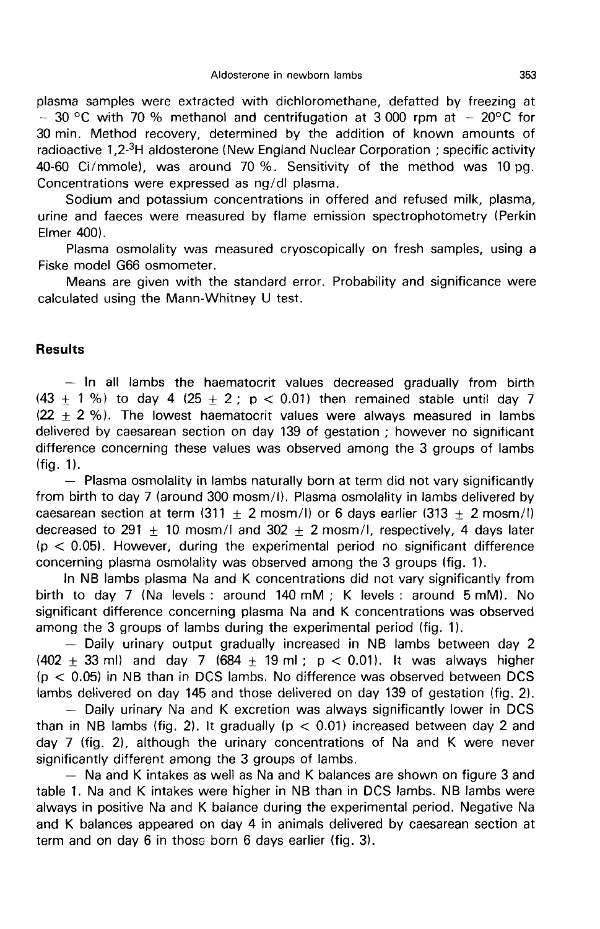plasma samples were extracted with dichloromethane, defatted by freezing at  $-$  30 °C with 70 % methanol and centrifugation at 3 000 rpm at  $-$  20°C for 30 min. Method recovery, determined by the addition of known amounts of - 30 °C with 70 % methanol and centrifugation at 3 000 rpm at - 20°C for<br>30 min. Method recovery, determined by the addition of known amounts of<br>radioactive 1,2-<sup>3</sup>H aldosterone (New England Nuclear Corporation; specific 40-60 Ci/mmole), was around 70 %. Sensitivity of the method was 10 pg. Concentrations were expressed as ng/dl plasma.

Sodium and potassium concentrations in offered and refused milk, plasma, urine and faeces were measured by flame emission spectrophotometry (Perkin Elmer 400).

Plasma osmolality was measured cryoscopically on fresh samples, using a Fiske model G66 osmometer.

Means are given with the standard error. Probability and significance were calculated using the Mann-Whitney U test.

### **Results**

 $-$  In all lambs the haematocrit values decreased gradually from birth  $(43 \pm 1\%)$  to day 4  $(25 \pm 2; p < 0.01)$  then remained stable until day 7  $(22 + 2 %)$ . The lowest haematocrit values were always measured in lambs delivered by caesarean section on day 139 of gestation ; however no significant difference concerning these values was observed among the 3 groups of lambs (fig. 1).

- Plasma osmolality in lambs naturally born at term did not vary significantly from birth to day 7 (around 300 mosm/l). Plasma osmolality in lambs delivered by caesarean section at term (311 + 2 mosm/I) or 6 days earlier (313 + 2 mosm/I) decreased to 291 + 10 mosm/l and  $302 + 2$  mosm/l, respectively, 4 days later  $(p < 0.05)$ . However, during the experimental period no significant difference concerning plasma osmolality was observed among the 3 groups (fig. 1).

In NB lambs plasma Na and K concentrations did not vary significantly from birth to day 7 (Na levels : around 140 mM ; K levels : around 5 mM). No significant difference concerning plasma Na and K concentrations was observed among the 3 groups of lambs during the experimental period (fig. 1).

 $-$  Daily urinary output gradually increased in NB lambs between day 2. (402  $\pm$  33 ml) and day 7 (684  $\pm$  19 ml; p < 0.01). It was always higher  $(p < 0.05)$  in NB than in DCS lambs. No difference was observed between DCS lambs delivered on day 145 and those delivered on dig. 2).

- Daily urinary Na and K excretion was always significantly lower in DCS than in NB lambs (fig. 2). It gradually ( $p < 0.01$ ) increased between day 2 and day 7 (fig. 2), although the urinary concentrations of Na and K were never significantly different among the 3 groups of lambs.

- Na and K intakes as well as Na and K balances are shown on figure 3 and table 1. Na and K intakes were higher in NB than in DCS lambs. NB lambs were always in positive Na and K balance during the experimental period. Negative Na and K balances appeared on day 4 in animals delivered by caesarean section at term and on day 6 in those born 6 days earlier (fig. 3).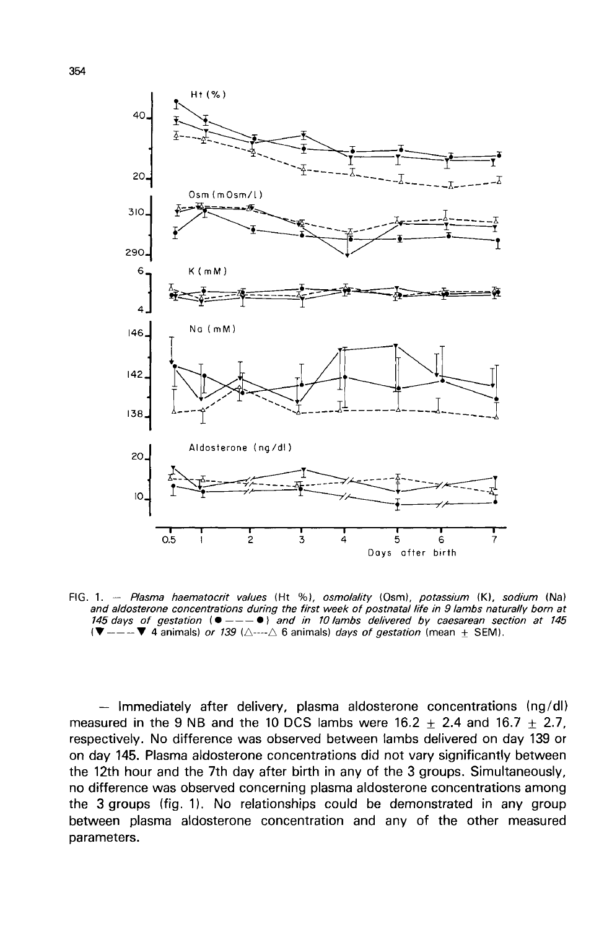

FIG. 1. - Plasma haematocrit values (Ht %), osmolality (Osm), potassium (K), sodium (Na) and aldosterone concentrations during the first week of postnatal life in 9 lambs naturally born at 145 days of gestation ( $\bullet$  --- $\bullet$ ) and in 10 lambs delivered by caesarean section at 145  $(\blacktriangledown$  ---  $\nabla$  4 animals) or 139 ( $\triangle$ --- $\triangle$  6 animals) days of gestation (mean  $\pm$  SEM).

 $-$  Immediately after delivery, plasma aldosterone concentrations (ng/dl) measured in the 9 NB and the 10 DCS lambs were  $16.2 \pm 2.4$  and  $16.7 \pm 2.7$ , respectively. No difference was observed between lambs delivered on day 139 or on day 145. Plasma aldosterone concentrations did not vary significantly between the 12th hour and the 7th day after birth in any of the 3 groups. Simultaneously, no difference was observed concerning plasma aldosterone concentrations among the 3 groups (fig. 1). No relationships could be demonstrated in any group between plasma aldosterone concentration and any of the other measured parameters.

354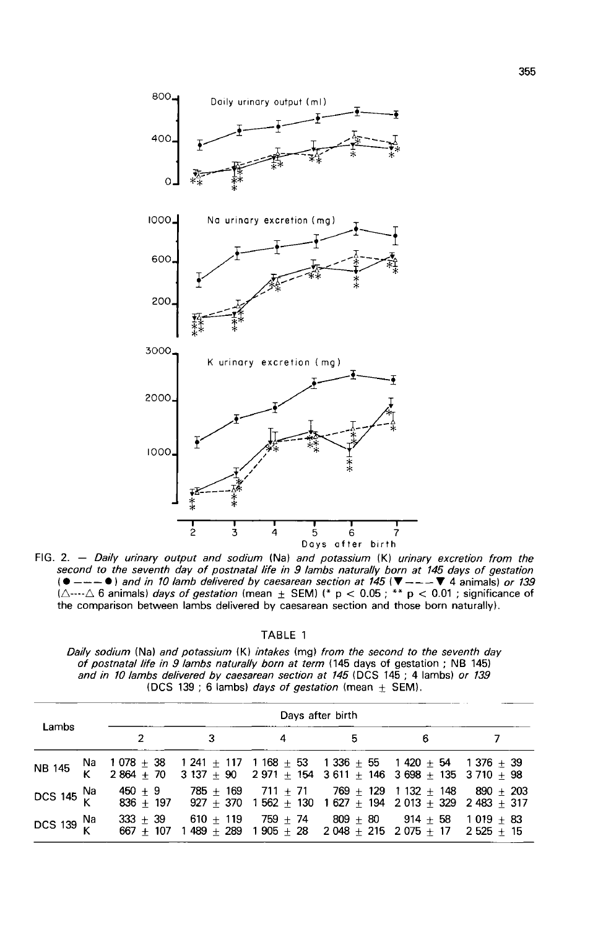

FIG. 2. - Daily urinary output and sodium (Na) and potassium (K) urinary excretion from the second to the seventh day of postnatal life in 9 lambs naturally born at 145 days of gestation  $($   $\bullet$   $-- \bullet$   $)$  and in 10 lamb delivered by caesarean section at 145 ( $\blacktriangledown$   $-- \blacktriangledown$  4 animals) or 139<br> $(\triangle$ --- $\triangle$  6 animals) days of gestation (mean  $\pm$  SEM) (\* p < 0.05 ; \*\* p < 0.01 ; significance of the comparison between lambs delivered by caesarean section and those born naturally).

TABLE 1

Daily sodium (Na) and potassium (K) intakes (mg) from the second to the seventh day of postnatal life in 9 lambs naturally born at term (145 days of gestation; NB 145) and in 10 lambs delivered by caesarean section at 145 (DCS 145 : 4 lambs) or 139 (DCS 139 ; 6 lambs) days of gestation (mean  $\pm$  SEM).

|                        |  | Days after birth |              |   |                |                                                                                                                                                                   |  |
|------------------------|--|------------------|--------------|---|----------------|-------------------------------------------------------------------------------------------------------------------------------------------------------------------|--|
| Lambs                  |  |                  | $\mathbf{3}$ | 4 | 5 <sub>1</sub> | $\overline{6}$                                                                                                                                                    |  |
| <b>NB 145</b>          |  |                  |              |   |                |                                                                                                                                                                   |  |
| DCS 145 $\frac{Na}{K}$ |  |                  |              |   |                | $450 \pm 9$ 785 $\pm$ 169 711 $\pm$ 71 769 $\pm$ 129 1 132 $\pm$ 148 890 $\pm$ 203<br>$836 + 197$ $927 + 370$ $1562 + 130$ $1627 + 194$ $2013 + 329$ $2483 + 317$ |  |
| DCS 139 $\frac{Na}{K}$ |  | $333 + 39$       |              |   |                | $610 + 119$ 759 + 74 809 + 80 914 + 58 1 019 + 83<br>667 $\pm$ 107 1 489 $\pm$ 289 1 905 $\pm$ 28 2 048 $\pm$ 215 2 075 + 17 2 525 + 15                           |  |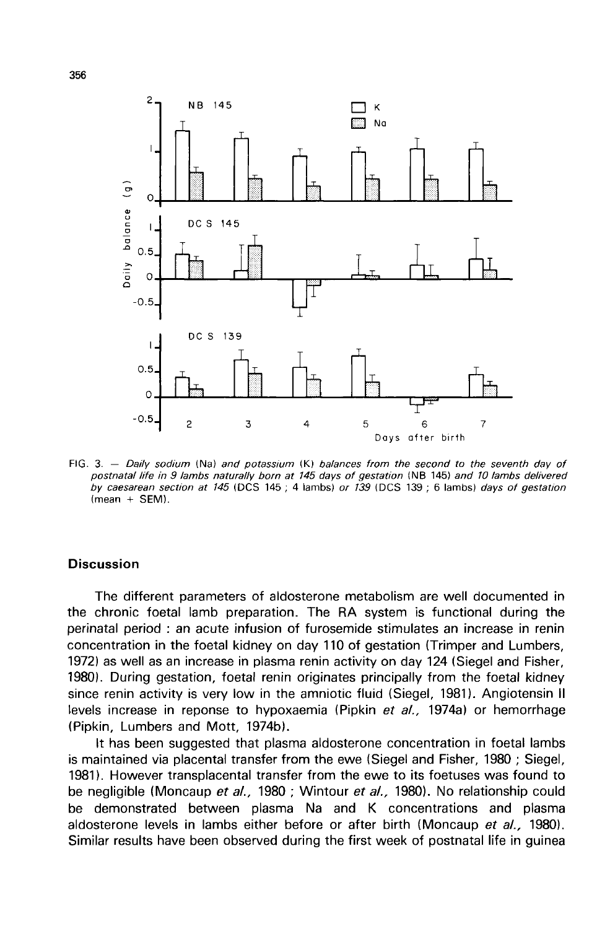

FIG. 3.  $-$  Daily sodium (Na) and potassium (K) balances from the second to the seventh day of postnatal life in 9 lambs naturally born at 145 days of gestation (NB 145) and 10 lambs delivered by caesarean section at 145 (DCS 145; 4 lambs) or 139 (DCS 139; 6 lambs) days of gestation  $(mean + SEM)$ .

## **Discussion**

The different parameters of aldosterone metabolism are well documented in the chronic foetal lamb preparation. The RA system is functional during the perinatal period : an acute infusion of furosemide stimulates an increase in renin concentration in the foetal kidney on day 110 of gestation (Trimper and Lumbers, 1972) as well as an increase in plasma renin activity on day 124 (Siegel and Fisher, 1980). During gestation, foetal renin originates principally from the foetal kidney since renin activity is very low in the amniotic fluid (Siegel, 1981). Angiotensin II levels increase in reponse to hypoxaemia (Pipkin et al., 1974a) or hemorrhage (Pipkin, Lumbers and Mott, 1974b).

It has been suggested that plasma aldosterone concentration in foetal lambs is maintained via placental transfer from the ewe (Siegel and Fisher, 1980 ; Siegel, 1981). However transplacental transfer from the ewe to its foetuses was found to be negligible (Moncaup et al., 1980 ; Wintour et al., 1980). No relationship could be demonstrated between plasma Na and K concentrations and plasma aldosterone levels in lambs either before or after birth (Moncaup et al., 1980). Similar results have been observed during the first week of postnatal life in guinea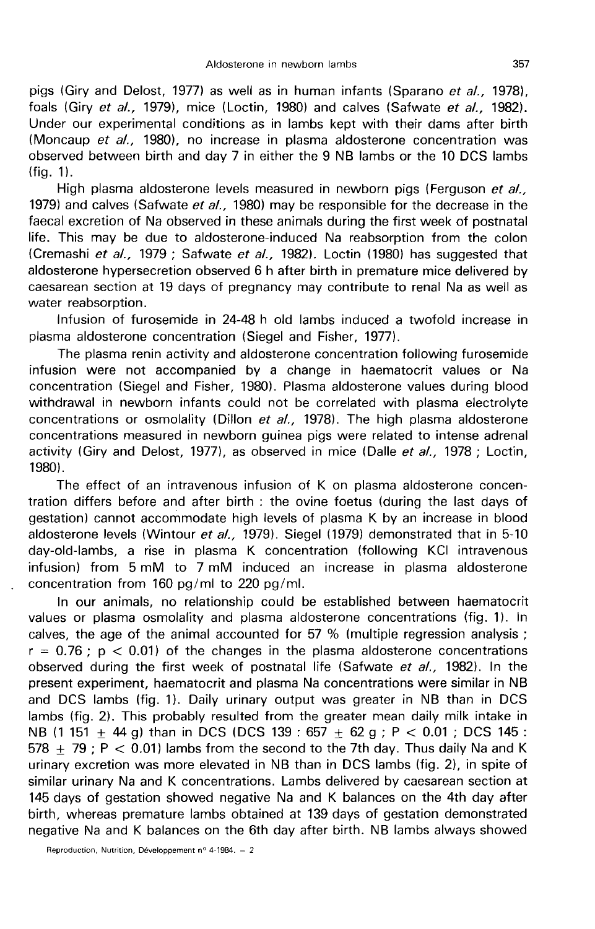pigs (Giry and Delost, 1977) as well as in human infants (Sparano et al., 1978). foals (Giry et al., 1979), mice (Loctin, 1980) and calves (Safwate et al., 1982). Under our experimental conditions as in lambs kept with their dams after birth (Moncaup et al., 1980), no increase in plasma aldosterone concentration was observed between birth and day 7 in either the 9 NB lambs or the 10 DCS lambs  $(fiq. 1).$ 

High plasma aldosterone levels measured in newborn pigs (Ferguson et al., 1979) and calves (Safwate et al., 1980) may be responsible for the decrease in the faecal excretion of Na observed in these animals during the first week of postnatal life. This may be due to aldosterone-induced Na reabsorption from the colon (Cremashi et al., 1979 ; Safwate et al., 1982). Loctin (1980) has suggested that aldosterone hypersecretion observed 6 h after birth in premature mice delivered by caesarean section at 19 days of pregnancy may contribute to renal Na as well as water reabsorption.

Infusion of furosemide in 24-48 h old lambs induced a twofold increase in plasma aldosterone concentration (Siegel and Fisher, 1977).

The plasma renin activity and aldosterone concentration following furosemide infusion were not accompanied by a change in haematocrit values or Na concentration (Siegel and Fisher, 1980). Plasma aldosterone values during blood withdrawal in newborn infants could not be correlated with plasma electrolyte concentrations or osmolality (Dillon et al., 1978). The high plasma aldosterone concentrations measured in newborn guinea pigs were related to intense adrenal activity (Giry and Delost, 1977), as observed in mice (Dalle et al., 1978 ; Loctin, 1980).

The effect of an intravenous infusion of K on plasma aldosterone concentration differs before and after birth : the ovine foetus (during the last days of gestation) cannot accommodate high levels of plasma K by an increase in blood aldosterone levels (Wintour et al., 1979). Siegel (1979) demonstrated that in 5-10 day-old-lambs, a rise in plasma K concentration (following KCI intravenous infusion) from 5 mM to 7 mM induced an increase in plasma aldosterone concentration from 160 pg/ml to 220 pg/ml.

In our animals, no relationship could be established between haematocrit values or plasma osmolality and plasma aldosterone concentrations (fig. 1). In calves, the age of the animal accounted for 57 % (multiple regression analysis ;  $r = 0.76$ ;  $p < 0.01$ ) of the changes in the plasma aldosterone concentrations observed during the first week of postnatal life (Safwate et al., 1982). In the present experiment, haematocrit and plasma Na concentrations were similar in NB and DCS lambs (fig. 1). Daily urinary output was greater in NB than in DCS lambs (fig. 2). This probably resulted from the greater mean daily milk intake in NB (1 151  $\pm$  44 g) than in DCS (DCS 139 : 657  $\pm$  62 g; P < 0.01; DCS 145 :  $578 + 79$ ; P < 0.01) lambs from the second to the 7th day. Thus daily Na and K urinary excretion was more elevated in NB than in DCS lambs (fig. 2), in spite of similar urinary Na and K concentrations. Lambs delivered by caesarean section at 145 days of gestation showed negative Na and K balances on the 4th day after birth, whereas premature lambs obtained at 139 days of gestation demonstrated negative Na and K balances on the 6th day after birth. NB lambs always showed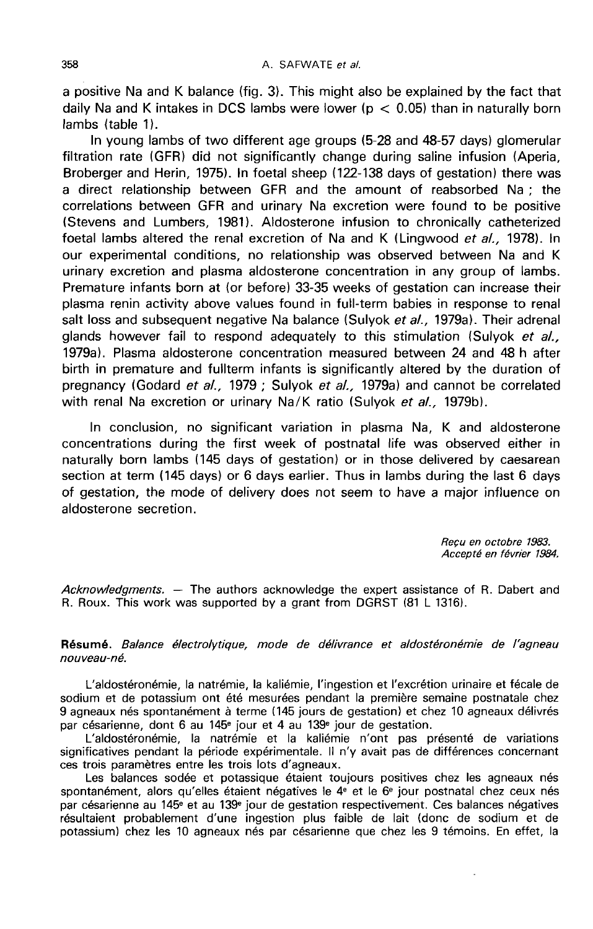a positive Na and K balance (fig. 3). This might also be explained by the fact that daily Na and K intakes in DCS lambs were lower ( $p < 0.05$ ) than in naturally born lambs (table 1).

In young lambs of two different age groups (5-28 and 48-57 days) glomerular filtration rate (GFR) did not significantly change during saline infusion (Aperia, Broberger and Herin, 1975). In foetal sheep (122-138 days of gestation) there was a direct relationship between GFR and the amount of reabsorbed Na ; the correlations between GFR and urinary Na excretion were found to be positive (Stevens and Lumbers, 1981). Aldosterone infusion to chronically catheterized foetal lambs altered the renal excretion of Na and K (Lingwood et al., 1978). In our experimental conditions, no relationship was observed between Na and K urinary excretion and plasma aldosterone concentration in any group of lambs. Premature infants born at (or before) 33-35 weeks of gestation can increase their plasma renin activity above values found in full-term babies in response to renal salt loss and subsequent negative Na balance (Sulyok et al., 1979a). Their adrenal glands however fail to respond adequately to this stimulation (Sulyok et al., 1979a). Plasma aldosterone concentration measured between 24 and 48 h after birth in premature and fullterm infants is significantly altered by the duration of pregnancy (Godard et al., 1979; Sulyok et al., 1979a) and cannot be correlated with renal Na excretion or urinary Na/K ratio (Sulyok et al., 1979b).

In conclusion, no significant variation in plasma Na, K and aldosterone concentrations during the first week of postnatal life was observed either in naturally born lambs (145 days of gestation) or in those delivered by caesarean section at term (145 days) or 6 days earlier. Thus in lambs during the last 6 days of gestation, the mode of delivery does not seem to have a major influence on aldosterone secretion.

> Recu en octobre 1983. Accept6 en fevrier 1984.

Acknowledgments.  $-$  The authors acknowledge the expert assistance of R. Dabert and R. Roux. This work was supported by a grant from DGRST (81 L 1316).

Résumé. Balance électrolytique, mode de délivrance et aldostéronémie de l'agneau nouveau-né.

L'aldostéronémie, la natrémie, la kaliémie, l'ingestion et l'excrétion urinaire et fécale de sodium et de potassium ont été mesurées pendant la première semaine postnatale chez 9 agneaux nés spontanément à terme (145 jours de gestation) et chez 10 agneaux délivrés par césarienne, dont 6 au 145<sup>e</sup> jour et 4 au 139<sup>e</sup> jour de gestation.

L'aldostéronémie, la natrémie et la kaliémie n'ont pas présenté de variations significatives pendant la période expérimentale. Il n'y avait pas de différences concernant ces trois paramètres entre les trois lots d'agneaux.

Les balances sodée et potassique étaient toujours positives chez les agneaux nés spontanément, alors qu'elles étaient négatives le  $4^e$  et le  $6^e$  jour postnatal chez ceux nés<br>par césarienne au 145<sup>e</sup> et au 139<sup>e</sup> jour de gestation respectivement. Ces balances négatives résultaient probablement d'une ingestion plus faible de lait (donc de sodium et de potassium) chez les 10 agneaux nés par césarienne que chez les 9 témoins. En effet, la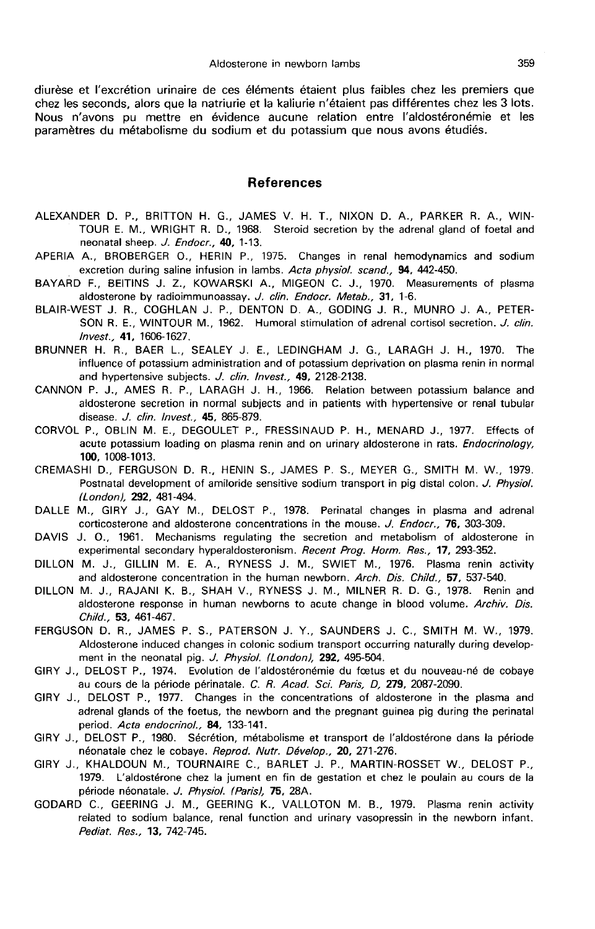diurèse et l'excrétion urinaire de ces éléments étaient plus faibles chez les premiers que chez les seconds, alors que la natriurie et la kaliurie n'étaient pas différentes chez les 3 lots. Nous n'avons pu mettre en évidence aucune relation entre l'aldostéronémie et les paramètres du métabolisme du sodium et du potassium que nous avons étudiés.

#### References

- ALEXANDER D. P., BRITTON H. G., JAMES V. H. T., NIXON D. A., PARKER R. A., WIN-TOUR E. M., WRIGHT R. D., 1968. Steroid secretion by the adrenal gland of foetal and neonatal sheep. J. Endocr., 40, 1-13.
- APERIA A., BROBERGER 0., HERIN P., 1975. Changes in renal hemodynamics and sodium excretion during saline infusion in lambs. Acta physiol. scand., 94, 442-450.
- BAYARD F., BEITINS J. Z., KOWARSKI A., MIGEON C. J., 1970. Measurements of plasma aldosterone by radioimmunoassay. J. clin. Endocr. Metab., 31, 1-6.
- BLAIR-WEST J. R., COGHLAN J. P., DENTON D. A., GODING J. R., MUNRO J. A., PETER-SON R. E., WINTOUR M., 1962. Humoral stimulation of adrenal cortisol secretion. J. clin. lnvest., 41, 1606-1627.
- BRUNNER H. R., BAER L., SEALEY J. E., LEDINGHAM J. G., LARAGH J. H., 1970. The influence of potassium administration and of potassium deprivation on plasma renin in normal and hypertensive subjects. J. clin. Invest., 49, 2128-2138.
- CANNON P. J., AMES R. P., LARAGH J. H., 1966. Relation between potassium balance and aldosterone secretion in normal subjects and in patients with hypertensive or renal tubular disease. *J. clin. Invest.*, 45, 865-879.
- CORVOL P., OBLIN M. E., DEGOULET P., FRESSINAUD P. H., MENARD J., 1977. Effects of acute potassium loading on plasma renin and on urinary aldosterone in rats. *Endocrinology*, 100, 1008-1013.
- CREMASHI D., FERGUSON D. R., HENIN S., JAMES P. S., MEYER G., SMITH M. W., 1979. Postnatal development of amiloride sensitive sodium transport in pig distal colon. J. Physiol. (London), 292, 481-494.
- DALLE M., GIRY J., GAY M., DELOST P., 1978. Perinatal changes in plasma and adrenal corticosterone and aldosterone concentrations in the mouse. J. Endocr., 76, 303-309.
- DAVIS J. 0., 1961. Mechanisms regulating the secretion and metabolism of aldosterone in experimental secondary hyperaldosteronism. Recent Prog. Horm. Res., 17, 293-352.
- DILLON M. J., GILLIN M. E. A., RYNESS J. M., SWIET M., 1976. Plasma renin activity and aldosterone concentration in the human newborn. Arch. Dis. Child., 57, 537-540.
- DILLON M. J., RAJANI K. B., SHAH V., RYNESS J. M., MILNER R. D. G., 1978. Renin and aldosterone response in human newborns to acute change in blood volume. Archiv. Dis. Child., 53, 461-467.
- FERGUSON D. R., JAMES P. S., PATERSON J. Y., SAUNDERS J. C., SMITH M. W., 1979. Aldosterone induced changes in colonic sodium transport occurring naturally during develop ment in the neonatal pig. J. Physiol. (London), 292, 495-504.
- GIRY J., DELOST P., 1974. Evolution de l'aldostéronémie du fœtus et du nouveau-né de cobaye au cours de la période périnatale. C. R. Acad. Sci. Paris, D, 279, 2087-2090.
- GIRY J., DELOST P., 1977. Changes in the concentrations of aldosterone in the plasma and adrenal glands of the foetus, the newborn and the pregnant guinea pig during the perinatal period. Acta endocrinol., 84, 133-141.
- GIRY J., DELOST P., 1980. Sécrétion, métabolisme et transport de l'aldostérone dans la période néonatale chez le cobaye. Reprod. Nutr. Dévelop., 20, 271-276.
- GIRY J., KHALDOUN M., TOURNAIRE C., BARLET J. P., MARTIN-ROSSET W., DELOST P., 1979. L'aldostérone chez la jument en fin de gestation et chez le poulain au cours de la période néonatale. J. Physiol. (Paris), 75, 28A.
- GODARD C., GEERING J. M., GEERING K., VALLOTON M. B., 1979. Plasma renin activity related to sodium balance, renal function and urinary vasopressin in the newborn infant. Pediat. Res., 13, 742-745.